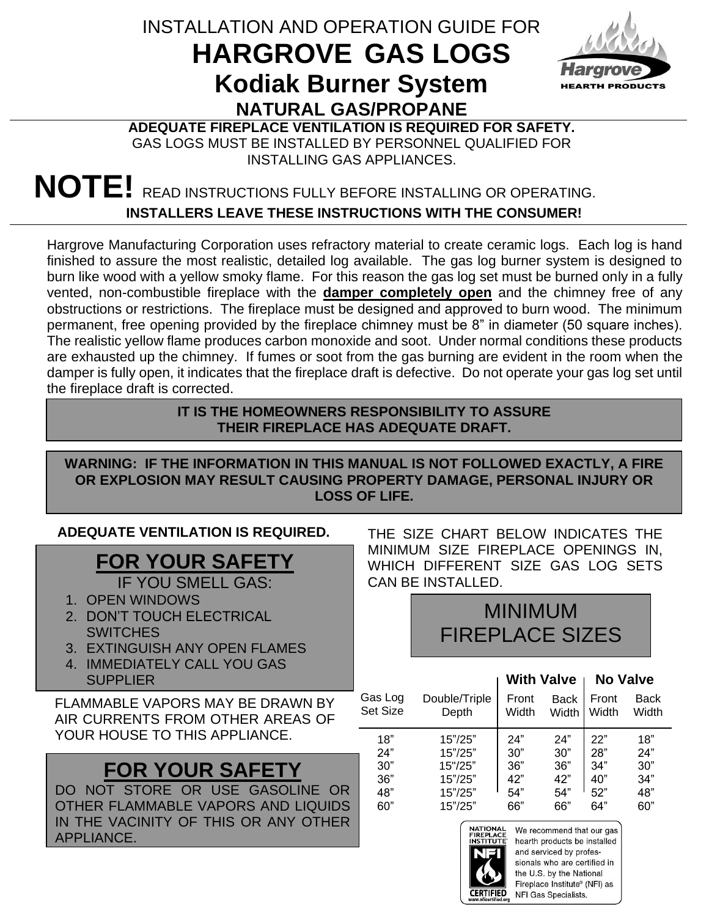# INSTALLATION AND OPERATION GUIDE FOR **HARGROVE GAS LOGS Kodiak Burner System NATURAL GAS/PROPANE**



### **ADEQUATE FIREPLACE VENTILATION IS REQUIRED FOR SAFETY.** GAS LOGS MUST BE INSTALLED BY PERSONNEL QUALIFIED FOR INSTALLING GAS APPLIANCES.

# **NOTE!** READ INSTRUCTIONS FULLY BEFORE INSTALLING OR OPERATING. **INSTALLERS LEAVE THESE INSTRUCTIONS WITH THE CONSUMER!**

Hargrove Manufacturing Corporation uses refractory material to create ceramic logs. Each log is hand finished to assure the most realistic, detailed log available. The gas log burner system is designed to burn like wood with a yellow smoky flame. For this reason the gas log set must be burned only in a fully vented, non-combustible fireplace with the **damper completely open** and the chimney free of any obstructions or restrictions. The fireplace must be designed and approved to burn wood. The minimum permanent, free opening provided by the fireplace chimney must be 8" in diameter (50 square inches). The realistic yellow flame produces carbon monoxide and soot. Under normal conditions these products are exhausted up the chimney. If fumes or soot from the gas burning are evident in the room when the damper is fully open, it indicates that the fireplace draft is defective. Do not operate your gas log set until the fireplace draft is corrected.

#### **IT IS THE HOMEOWNERS RESPONSIBILITY TO ASSURE THEIR FIREPLACE HAS ADEQUATE DRAFT.**

### **WARNING: IF THE INFORMATION IN THIS MANUAL IS NOT FOLLOWED EXACTLY, A FIRE OR EXPLOSION MAY RESULT CAUSING PROPERTY DAMAGE, PERSONAL INJURY OR LOSS OF LIFE.**

#### **ADEQUATE VENTILATION IS REQUIRED.**

# **FOR YOUR SAFETY**

IF YOU SMELL GAS:

- 1. OPEN WINDOWS
- 2. DON'T TOUCH ELECTRICAL **SWITCHES**
- 3. EXTINGUISH ANY OPEN FLAMES
- 4. IMMEDIATELY CALL YOU GAS **SUPPLIER**

FLAMMABLE VAPORS MAY BE DRAWN BY AIR CURRENTS FROM OTHER AREAS OF YOUR HOUSE TO THIS APPLIANCE.

# **FOR YOUR SAFETY**

DO NOT STORE OR USE GASOLINE OR OTHER FLAMMABLE VAPORS AND LIQUIDS IN THE VACINITY OF THIS OR ANY OTHER APPLIANCE.

THE SIZE CHART BELOW INDICATES THE MINIMUM SIZE FIREPLACE OPENINGS IN, WHICH DIFFERENT SIZE GAS LOG SETS CAN BE INSTALLED.

# MINIMUM FIREPLACE SIZES

|          |               | <b>With Valve</b> |             | <b>No Valve</b> |       |
|----------|---------------|-------------------|-------------|-----------------|-------|
| Gas Log  | Double/Triple | Front             | <b>Back</b> | Front           | Back  |
| Set Size | Depth         | Width             | Width       | Width           | Width |
| 18"      | 15"/25"       | 24"               | 24"         | 22"             | 18"   |
| 24"      | 15"/25"       | 30"               | 30"         | 28"             | 24"   |
| 30"      | 15"/25"       | 36"               | 36"         | 34"             | 30"   |
| 36"      | 15"/25"       | 42"               | 42"         | 40"             | 34"   |
| 48"      | 15"/25"       | 54"               | 54"         | 52"             | 48"   |
| 60"      | 15"/25"       | 66"               | 66"         | 64"             | 60"   |



We recommend that our gas hearth products be installed and serviced by professionals who are certified in the U.S. by the National Fireplace Institute® (NFI) as **ERTIFIED** NFI Gas Specialists.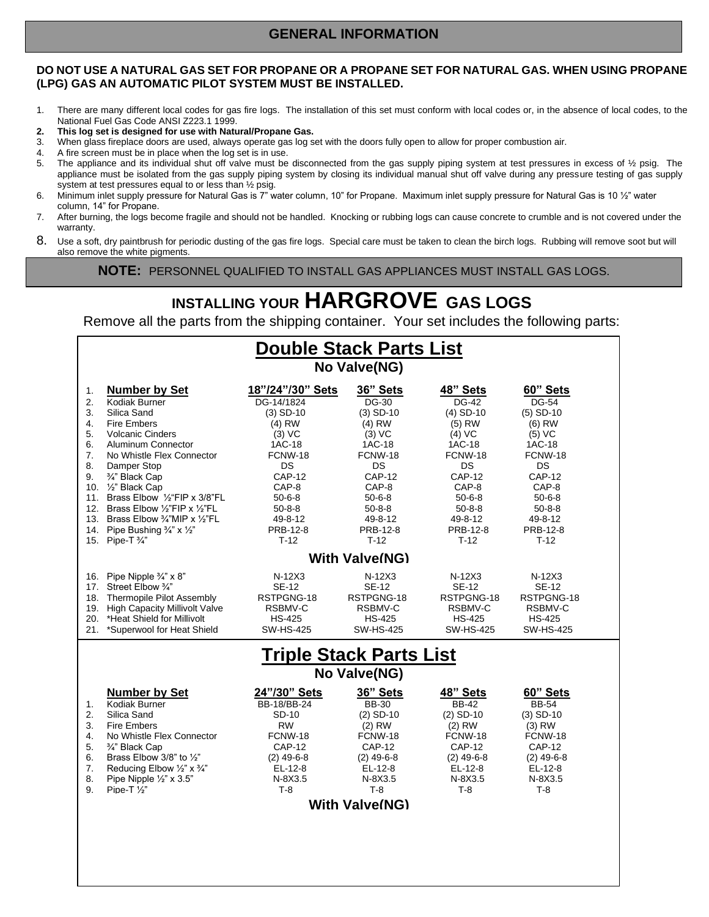## **GENERAL INFORMATION**

#### **DO NOT USE A NATURAL GAS SET FOR PROPANE OR A PROPANE SET FOR NATURAL GAS. WHEN USING PROPANE (LPG) GAS AN AUTOMATIC PILOT SYSTEM MUST BE INSTALLED.**

- 1. There are many different local codes for gas fire logs. The installation of this set must conform with local codes or, in the absence of local codes, to the National Fuel Gas Code ANSI Z223.1 1999.
- **2. This log set is designed for use with Natural/Propane Gas.**
- 3. When glass fireplace doors are used, always operate gas log set with the doors fully open to allow for proper combustion air.
- 4. A fire screen must be in place when the log set is in use.
- 5. The appliance and its individual shut off valve must be disconnected from the gas supply piping system at test pressures in excess of 1/2 psig. The appliance must be isolated from the gas supply piping system by closing its individual manual shut off valve during any pressure testing of gas supply system at test pressures equal to or less than ½ psig.
- 6. Minimum inlet supply pressure for Natural Gas is 7" water column, 10" for Propane. Maximum inlet supply pressure for Natural Gas is 10 ½" water column, 14" for Propane.
- 7. After burning, the logs become fragile and should not be handled. Knocking or rubbing logs can cause concrete to crumble and is not covered under the warranty.
- 8. Use a soft, dry paintbrush for periodic dusting of the gas fire logs. Special care must be taken to clean the birch logs. Rubbing will remove soot but will also remove the white pigments.

**NOTE: PERSONNEL QUALIFIED TO INSTALL GAS APPLIANCES MUST INSTALL GAS LOGS.** 

# **INSTALLING YOUR HARGROVE GAS LOGS**

Remove all the parts from the shipping container. Your set includes the following parts:

| <b>Double Stack Parts List</b><br>No Valve(NG)                                                                                                                                                                                           |                                                                                                                                                                                                                                                                                            |                                                                                                                                                                       |                                                                                                                                                                       |                                                                                                                                                                             |  |  |
|------------------------------------------------------------------------------------------------------------------------------------------------------------------------------------------------------------------------------------------|--------------------------------------------------------------------------------------------------------------------------------------------------------------------------------------------------------------------------------------------------------------------------------------------|-----------------------------------------------------------------------------------------------------------------------------------------------------------------------|-----------------------------------------------------------------------------------------------------------------------------------------------------------------------|-----------------------------------------------------------------------------------------------------------------------------------------------------------------------------|--|--|
| <b>Number by Set</b><br>Kodiak Burner<br>Silica Sand<br><b>Fire Embers</b><br><b>Volcanic Cinders</b><br>Aluminum Connector<br>No Whistle Flex Connector<br>Damper Stop<br>3/4" Black Cap                                                | 18"/24"/30" Sets<br>DG-14/1824<br>$(3)$ SD-10<br>$(4)$ RW<br>$(3)$ VC<br>1AC-18<br>FCNW-18<br><b>DS</b><br><b>CAP-12</b><br>CAP-8<br>$50 - 6 - 8$<br>$50 - 8 - 8$<br>49-8-12<br>PRB-12-8                                                                                                   | 36" Sets<br>DG-30<br>$(3)$ SD-10<br>$(4)$ RW<br>$(3)$ VC<br>1AC-18<br>FCNW-18<br>DS.<br><b>CAP-12</b><br>CAP-8<br>$50 - 6 - 8$<br>$50 - 8 - 8$<br>49-8-12<br>PRB-12-8 | 48" Sets<br>DG-42<br>$(4)$ SD-10<br>$(5)$ RW<br>$(4)$ VC<br>1AC-18<br>FCNW-18<br>DS.<br><b>CAP-12</b><br>CAP-8<br>$50 - 6 - 8$<br>$50 - 8 - 8$<br>49-8-12<br>PRB-12-8 | 60" Sets<br>DG-54<br>$(5)$ SD-10<br>$(6)$ RW<br>$(5)$ VC<br>1AC-18<br>FCNW-18<br><b>DS</b><br><b>CAP-12</b><br>CAP-8<br>$50 - 6 - 8$<br>$50 - 8 - 8$<br>49-8-12<br>PRB-12-8 |  |  |
|                                                                                                                                                                                                                                          |                                                                                                                                                                                                                                                                                            |                                                                                                                                                                       |                                                                                                                                                                       | $T-12$                                                                                                                                                                      |  |  |
| Street Elbow 3/4"<br>Thermopile Pilot Assembly<br>*Heat Shield for Millivolt<br>*Superwool for Heat Shield                                                                                                                               | $N-12X3$<br><b>SE-12</b><br>RSTPGNG-18<br>RSBMV-C<br><b>HS-425</b><br><b>SW-HS-425</b>                                                                                                                                                                                                     | $N-12X3$<br><b>SE-12</b><br>RSTPGNG-18<br>RSBMV-C<br><b>HS-425</b><br><b>SW-HS-425</b>                                                                                | $N-12X3$<br><b>SE-12</b><br>RSTPGNG-18<br>RSBMV-C<br><b>HS-425</b><br><b>SW-HS-425</b>                                                                                | $N-12X3$<br><b>SE-12</b><br>RSTPGNG-18<br>RSBMV-C<br><b>HS-425</b><br><b>SW-HS-425</b>                                                                                      |  |  |
|                                                                                                                                                                                                                                          |                                                                                                                                                                                                                                                                                            |                                                                                                                                                                       |                                                                                                                                                                       |                                                                                                                                                                             |  |  |
| No Valve(NG)                                                                                                                                                                                                                             |                                                                                                                                                                                                                                                                                            |                                                                                                                                                                       |                                                                                                                                                                       |                                                                                                                                                                             |  |  |
| <b>Number by Set</b><br>Kodiak Burner<br>Silica Sand<br><b>Fire Embers</b><br>No Whistle Flex Connector<br>3/4" Black Cap<br>Brass Elbow 3/8" to $\frac{1}{2}$ "<br>Reducing Elbow 1/2" x 3/4"<br>Pipe Nipple 1/2" x 3.5"<br>Pipe-T 1/2" | 24"/30" Sets<br>BB-18/BB-24<br>SD-10<br><b>RW</b><br>FCNW-18<br><b>CAP-12</b><br>$(2)$ 49-6-8<br>EL-12-8<br>$N-8X3.5$<br>$T-8$                                                                                                                                                             | 36" Sets<br><b>BB-30</b><br>$(2)$ SD-10<br>$(2)$ RW<br>FCNW-18<br><b>CAP-12</b><br>$(2)$ 49-6-8<br>EL-12-8<br>$N-8X3.5$<br>$T-8$                                      | 48" Sets<br><b>BB-42</b><br>$(2)$ SD-10<br>$(2)$ RW<br>FCNW-18<br><b>CAP-12</b><br>$(2)$ 49-6-8<br>EL-12-8<br>$N-8X3.5$<br>$T-8$                                      | 60" Sets<br><b>BB-54</b><br>$(3)$ SD-10<br>$(3)$ RW<br>FCNW-18<br><b>CAP-12</b><br>$(2)$ 49-6-8<br>EL-12-8<br>$N-8X3.5$<br>$T-8$                                            |  |  |
|                                                                                                                                                                                                                                          | 10. 1/2" Black Cap<br>11. Brass Elbow 1/2"FIP x 3/8"FL<br>12. Brass Elbow 1/2"FIP x 1/2"FL<br>13. Brass Elbow 3/4"MIP x 1/2"FL<br>14. Pipe Bushing 3/4" x 1/2"<br>15. Pipe-T 3/4"<br>16. Pipe Nipple $\frac{3}{4}$ " x 8"<br>17.<br>18.<br>19. High Capacity Millivolt Valve<br>20.<br>21. | $T-12$                                                                                                                                                                | $T-12$<br><b>With Valve(NG)</b><br><b>With Valve(NG)</b>                                                                                                              | $T-12$<br><u>Triple Stack Parts List</u>                                                                                                                                    |  |  |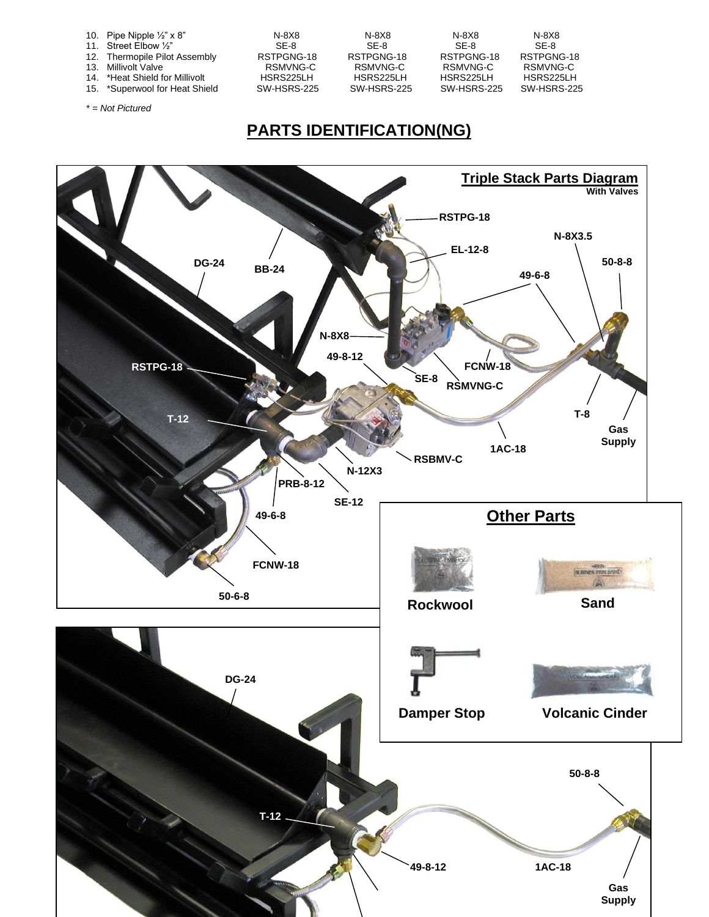| 10. Pipe Nipple $\frac{1}{2}$ " x 8" | N-8X8       | N-8X8       | N-8X8       | N-8X8       |
|--------------------------------------|-------------|-------------|-------------|-------------|
| 11. Street Elbow 1/2"                | SF-8        | SF-8        | SF-8        | SF-8        |
| 12. Thermopile Pilot Assembly        | RSTPGNG-18  | RSTPGNG-18  | RSTPGNG-18  | RSTPGNG-18  |
| 13. Millivolt Valve                  | RSMVNG-C    | RSMVNG-C    | RSMVNG-C    | RSMVNG-C    |
| 14. *Heat Shield for Millivolt       | HSRS225LH   | HSRS225LH   | HSRS225LH   | HSRS225LH   |
| 15. *Superwool for Heat Shield       | SW-HSRS-225 | SW-HSRS-225 | SW-HSRS-225 | SW-HSRS-225 |
|                                      |             |             |             |             |
| $* = Not Pictured$                   |             |             |             |             |

## **PARTS IDENTIFICATION(NG)**

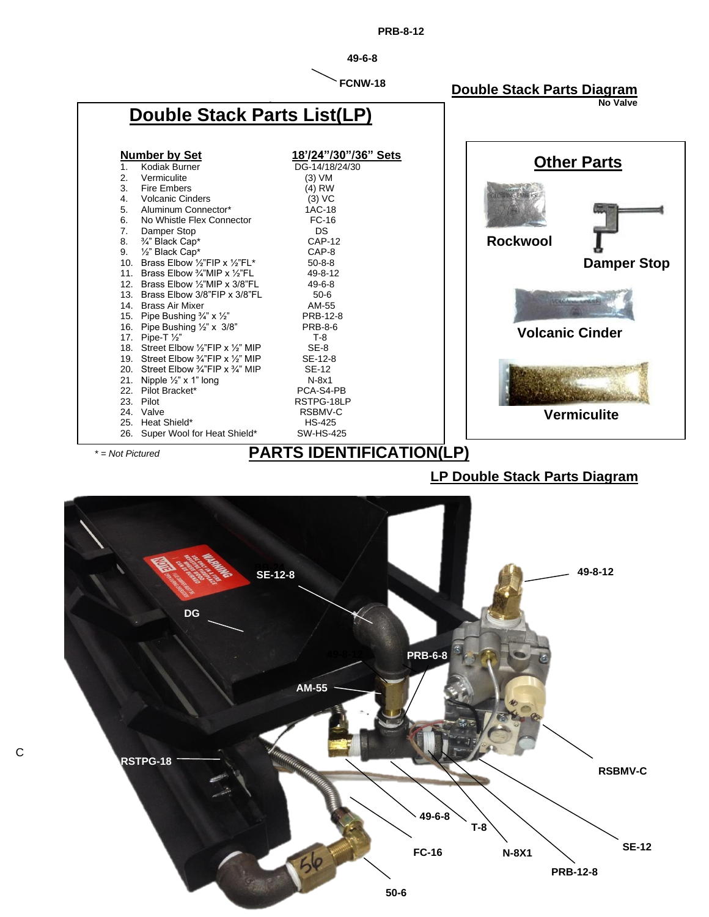

*\* = Not Pictured*

## **PARTS IDENTIFICATION(LP)**

**LP Double Stack Parts Diagram**



C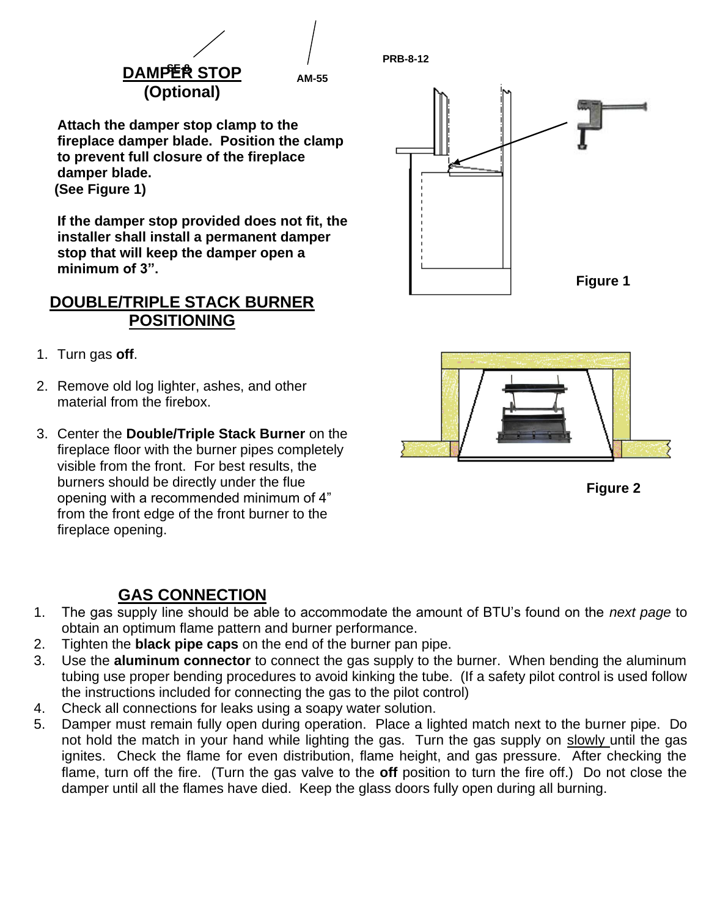

**PRB-8-12**

**Attach the damper stop clamp to the fireplace damper blade. Position the clamp to prevent full closure of the fireplace damper blade. (See Figure 1)**

**If the damper stop provided does not fit, the installer shall install a permanent damper stop that will keep the damper open a minimum of 3".**

### **DOUBLE/TRIPLE STACK BURNER POSITIONING**

- 1. Turn gas **off**.
- 2. Remove old log lighter, ashes, and other material from the firebox.
- 3. Center the **Double/Triple Stack Burner** on the fireplace floor with the burner pipes completely visible from the front. For best results, the burners should be directly under the flue opening with a recommended minimum of 4" from the front edge of the front burner to the fireplace opening.

## **GAS CONNECTION**

- 1. The gas supply line should be able to accommodate the amount of BTU's found on the *next page* to obtain an optimum flame pattern and burner performance.
- 2. Tighten the **black pipe caps** on the end of the burner pan pipe.
- 3. Use the **aluminum connector** to connect the gas supply to the burner. When bending the aluminum tubing use proper bending procedures to avoid kinking the tube. (If a safety pilot control is used follow the instructions included for connecting the gas to the pilot control)
- 4. Check all connections for leaks using a soapy water solution.
- 5. Damper must remain fully open during operation. Place a lighted match next to the burner pipe. Do not hold the match in your hand while lighting the gas. Turn the gas supply on slowly until the gas ignites. Check the flame for even distribution, flame height, and gas pressure. After checking the flame, turn off the fire. (Turn the gas valve to the **off** position to turn the fire off.) Do not close the damper until all the flames have died. Keep the glass doors fully open during all burning.





**Figure 2**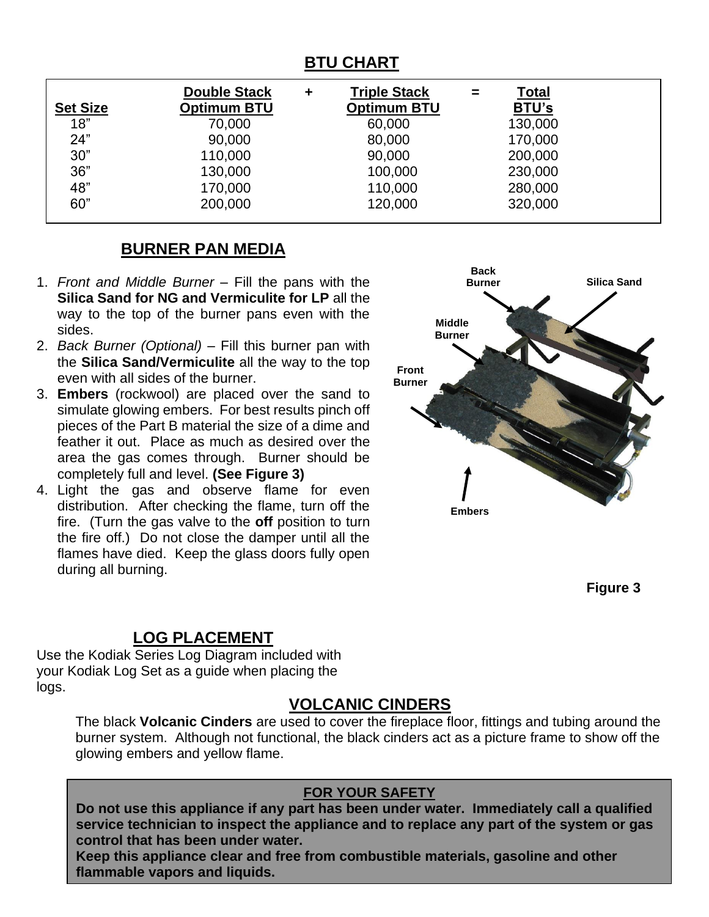## **BTU CHART**

|                 | <b>Double Stack</b> | ٠ | <b>Triple Stack</b> | = | <b>Total</b> |  |
|-----------------|---------------------|---|---------------------|---|--------------|--|
| <b>Set Size</b> | <b>Optimum BTU</b>  |   | <b>Optimum BTU</b>  |   | <b>BTU's</b> |  |
| 18"             | 70,000              |   | 60,000              |   | 130,000      |  |
| 24"             | 90,000              |   | 80,000              |   | 170,000      |  |
| 30"             | 110,000             |   | 90,000              |   | 200,000      |  |
| 36"             | 130,000             |   | 100,000             |   | 230,000      |  |
| 48"             | 170,000             |   | 110,000             |   | 280,000      |  |
| 60"             | 200,000             |   | 120,000             |   | 320,000      |  |

### **BURNER PAN MEDIA**

- 1. *Front and Middle Burner* Fill the pans with the **Silica Sand for NG and Vermiculite for LP** all the way to the top of the burner pans even with the sides.
- 2. *Back Burner (Optional)* Fill this burner pan with the **Silica Sand/Vermiculite** all the way to the top even with all sides of the burner.
- 3. **Embers** (rockwool) are placed over the sand to simulate glowing embers. For best results pinch off pieces of the Part B material the size of a dime and feather it out. Place as much as desired over the area the gas comes through. Burner should be completely full and level. **(See Figure 3)**
- 4. Light the gas and observe flame for even distribution. After checking the flame, turn off the fire. (Turn the gas valve to the **off** position to turn the fire off.) Do not close the damper until all the flames have died. Keep the glass doors fully open during all burning.



**Figure 3**

## **LOG PLACEMENT**

Use the Kodiak Series Log Diagram included with your Kodiak Log Set as a guide when placing the logs.

### **VOLCANIC CINDERS**

The black **Volcanic Cinders** are used to cover the fireplace floor, fittings and tubing around the burner system. Although not functional, the black cinders act as a picture frame to show off the glowing embers and yellow flame.

### **FOR YOUR SAFETY**

**Do not use this appliance if any part has been under water. Immediately call a qualified service technician to inspect the appliance and to replace any part of the system or gas control that has been under water.**

**Keep this appliance clear and free from combustible materials, gasoline and other flammable vapors and liquids.**